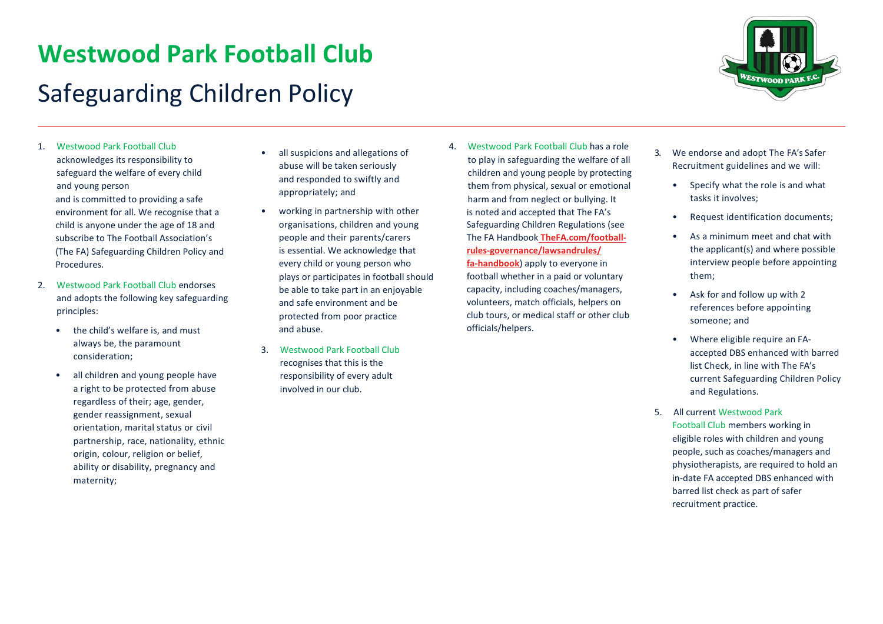## **Westwood Park Football Club** Safeguarding Children Policy



- 1. Westwood Park Football Club acknowledges its responsibility to safeguard the welfare of every child and young person and is committed to providing a safe environment for all. We recognise that a child is anyone under the age of 18 and subscribe to The Football Association's (The FA) Safeguarding Children Policy and **Procedures**
- 2. Westwood Park Football Club endorses and adopts the following key safeguarding principles:
	- the child's welfare is, and must always be, the paramount consideration;
	- all children and young people have a right to be protected from abuse regardless of their; age, gender, gender reassignment, sexual orientation, marital status or civil partnership, race, nationality, ethnic origin, colour, religion or belief, ability or disability, pregnancy and maternity;
- all suspicions and allegations of abuse will be taken seriously and responded to swiftly and appropriately; and
- working in partnership with other organisations, children and young people and their parents/carers is essential. We acknowledge that every child or young person who plays or participates in football should be able to take part in an enjoyable and safe environment and be protected from poor practice and abuse.
- 3. Westwood Park Football Club recognises that this is the responsibility of every adult involved in our club.
- 4. Westwood Park Football Club has a role to play in safeguarding the welfare of all children and young people by protecting them from physical, sexual or emotional harm and from neglect or bullying. It is noted and accepted that The FA's Safeguarding Children Regulations (see The FA Handbook **TheFA.com/footballrules-governance/lawsandrules/ fa-handbook**) apply to everyone in football whether in a paid or voluntary capacity, including coaches/managers, volunteers, match officials, helpers on club tours, or medical staff or other club officials/helpers.
- 3. We endorse and adopt The FA's Safer Recruitment guidelines and we will:
	- Specify what the role is and what tasks it involves;
	- Request identification documents;
	- As a minimum meet and chat with the applicant(s) and where possible interview people before appointing them;
	- Ask for and follow up with 2 references before appointing someone; and
	- Where eligible require an FAaccepted DBS enhanced with barred list Check, in line with The FA's current Safeguarding Children Policy and Regulations.
- 5. All current Westwood Park Football Club members working in eligible roles with children and young people, such as coaches/managers and physiotherapists, are required to hold an in-date FA accepted DBS enhanced with barred list check as part of safer recruitment practice.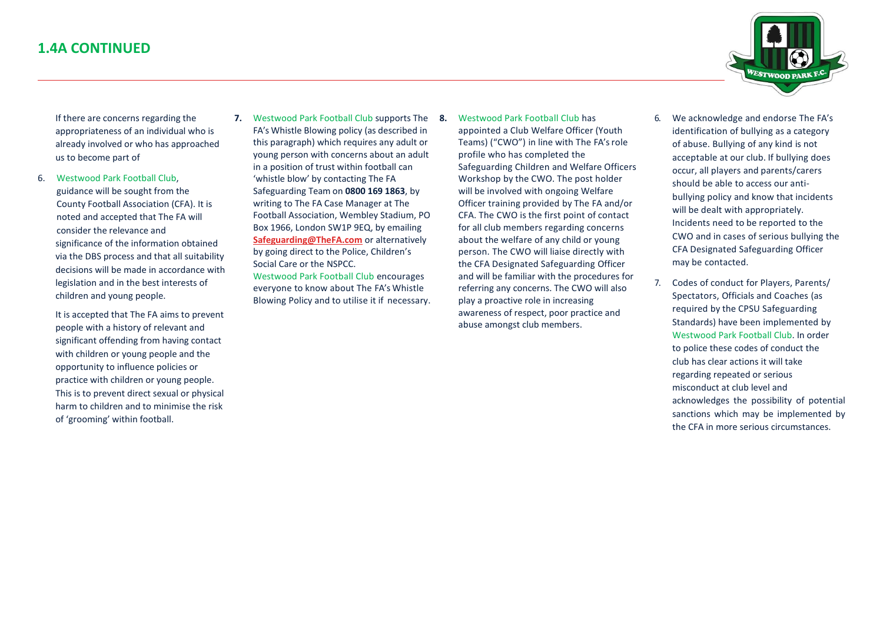

If there are concerns regarding the appropriateness of an individual who is already involved or who has approached us to become part of

- 6. Westwood Park Football Club, guidance will be sought from the County Football Association (CFA). It is noted and accepted that The FA will consider the relevance and significance of the information obtained via the DBS process and that all suitability decisions will be made in accordance with legislation and in the best interests of children and young people.
	- It is accepted that The FA aims to prevent people with a history of relevant and significant offending from having contact with children or young people and the opportunity to influence policies or practice with children or young people. This is to prevent direct sexual or physical harm to children and to minimise the risk of 'grooming' within football.
- **7.** Westwood Park Football Club supports The 8. FA's Whistle Blowing policy (as described in this paragraph) which requires any adult or young person with concerns about an adult in a position of trust within football can 'whistle blow' by contacting The FA Safeguarding Team on **0800 169 1863**, by writing to The FA Case Manager at The Football Association, Wembley Stadium, PO Box 1966, London SW1P 9EQ, by emailing **[Safeguarding@TheFA.com](mailto:Safeguarding@TheFA.com)** or alternatively by going direct to the Police, Children's Social Care or the NSPCC.

Westwood Park Football Club encourages everyone to know about The FA's Whistle Blowing Policy and to utilise it if necessary.

- **8.** Westwood Park Football Club has appointed a Club Welfare Officer (Youth Teams) ("CWO") in line with The FA's role profile who has completed the Safeguarding Children and Welfare Officers Workshop by the CWO. The post holder will be involved with ongoing Welfare Officer training provided by The FA and/or CFA. The CWO is the first point of contact for all club members regarding concerns about the welfare of any child or young person. The CWO will liaise directly with the CFA Designated Safeguarding Officer and will be familiar with the procedures for referring any concerns. The CWO will also play a proactive role in increasing awareness of respect, poor practice and abuse amongst club members.
- 6. We acknowledge and endorse The FA's identification of bullying as a category of abuse. Bullying of any kind is not acceptable at our club. If bullying does occur, all players and parents/carers should be able to access our antibullying policy and know that incidents will be dealt with appropriately. Incidents need to be reported to the CWO and in cases of serious bullying the CFA Designated Safeguarding Officer may be contacted.
- 7. Codes of conduct for Players, Parents/ Spectators, Officials and Coaches (as required by the CPSU Safeguarding Standards) have been implemented by Westwood Park Football Club. In order to police these codes of conduct the club has clear actions it will take regarding repeated or serious misconduct at club level and acknowledges the possibility of potential sanctions which may be implemented by the CFA in more serious circumstances.